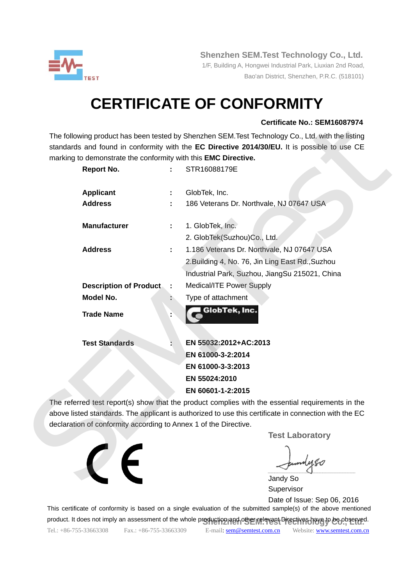

 **Shenzhen SEM.Test Technology Co., Ltd.** 

 1/F, Building A, Hongwei Industrial Park, Liuxian 2nd Road, Bao'an District, Shenzhen, P.R.C. (518101)

# **CERTIFICATE OF CONFORMITY**

### **Certificate No.: SEM16087974**

| marking to demonstrate the conformity with this EMC Directive.   |    | standards and found in conformity with the EC Directive 2014/30/EU. It is possible to use CE          |
|------------------------------------------------------------------|----|-------------------------------------------------------------------------------------------------------|
|                                                                  |    | STR16088179E                                                                                          |
| <b>Report No.</b>                                                |    |                                                                                                       |
| <b>Applicant</b>                                                 |    | GlobTek, Inc.                                                                                         |
| <b>Address</b>                                                   |    | 186 Veterans Dr. Northvale, NJ 07647 USA                                                              |
| <b>Manufacturer</b>                                              |    | 1. GlobTek, Inc.                                                                                      |
|                                                                  |    | 2. GlobTek(Suzhou)Co., Ltd.                                                                           |
| <b>Address</b>                                                   | ÷. | 1.186 Veterans Dr. Northvale, NJ 07647 USA                                                            |
|                                                                  |    | 2. Building 4, No. 76, Jin Ling East Rd., Suzhou                                                      |
|                                                                  |    | Industrial Park, Suzhou, JiangSu 215021, China                                                        |
| <b>Description of Product</b>                                    |    | Medical/ITE Power Supply                                                                              |
| <b>Model No.</b>                                                 |    | Type of attachment                                                                                    |
| <b>Trade Name</b>                                                |    | GlobTek, Inc.                                                                                         |
| <b>Test Standards</b>                                            |    | EN 55032:2012+AC:2013                                                                                 |
|                                                                  |    | EN 61000-3-2:2014                                                                                     |
|                                                                  |    | EN 61000-3-3:2013                                                                                     |
|                                                                  |    | EN 55024:2010                                                                                         |
|                                                                  |    | EN 60601-1-2:2015                                                                                     |
|                                                                  |    | The referred test report(s) show that the product complies with the essential requirements in the     |
| declaration of conformity according to Annex 1 of the Directive. |    | above listed standards. The applicant is authorized to use this certificate in connection with the EC |
|                                                                  |    | <b>Test Laboratory</b>                                                                                |
|                                                                  |    |                                                                                                       |
|                                                                  |    |                                                                                                       |

 Jandy So Supervisor

 Date of Issue: Sep 06, 2016 This certificate of conformity is based on a single evaluation of the submitted sample(s) of the above mentioned

product. It does not imply an assessment of the whole production and other relevant Directives have to be observed.

Tel.: +86-755-33663308 Fax.: +86-755-33663309 E-mail: sem@semtest.com.cn Website: www.semtest.com.cn